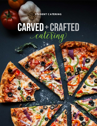**S TU D E N T C A T E R I N G**

# **CARVED+CRAFTED**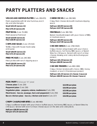# PARTY PLATTERS AND SNACKS

## **VEGGIE AND HUMMUS PLATTER** (Cals: 290-870)

Fresh vegetables with Za'atar hummus, ranch dip and pita triangles

**Small \$43.29 (serves 12)**

**Med \$79.19 (serves 24)**

**FRUIT BOWL** (Cals: 70-280)

Fresh seasonal fruit bowl

**Small \$19.69 (serves 6) Med \$38.99 (serves 12)**

## **CHIPS AND SALSA** (Cals: 170-510)

Tortilla chips with house-made salsa and queso

**Small \$36.09 (serves 12) Med \$72.19 (serves 24)**

**FRIED PICKLES** (Cals: 240-360)

Fried pickles with ranch dipping sauce

**Small \$36.09 (serves 12) Med \$72.19 (serves 24)**

#### **CHEESE STICKS** (Cals: 290-580)

Crispy fried cheese sticks with marinara dipping sauce

**Half pan \$63.99 (serves 24) Full pan \$127.99 (serves 48)**

**MEATBALLS** (Cals: 380-760)

Baked meatballs tossed with your choice of BBQ, or marinara sauce

**Half pan \$63.99 (serves 24) Full pan \$127.99 (serves 48)**

**CHICKEN WINGS** (Cals: 1760-3520)

Crispy chicken wings tossed with your choice: buffalo sauce, hot honey BBQ sauce, or Sweet Sriracha chili sauce. Served with ranch or blue cheese dressing and celery sticks (6 wings per person)

**Half pan \$41.19 (serves 12) Full pan \$66.99 (serves 24)**

**CHICKEN TENDERS** (Cals: 690-1380)

Crispy chicken tenders with choice: BBQ, honey mustard, or ranch (3 tenders per person)

**Half pan \$41.19 (serves 12 choose 2 sauces) Full pan \$66.99 (serves 24 choose 3 sauce)**

| PIZZA PARTY (8 slices per 16" pizza)                        |                   |
|-------------------------------------------------------------|-------------------|
| Cheese pizza (Cals: 220)                                    | \$14.99/per pizza |
| Pepperoni pizza (Cals: 230)                                 | \$16.99/per pizza |
| Vegetarian pizza - peppers, onions, mushrooms (Cals: 200)   | \$15.99/per pizza |
| Meat lovers - bacon, sausage, ham and pepperoni (Cals: 250) | \$16.99/per pizza |
| Bacon chicken pizza - bacon, chicken and ranch (Cals: 217)  | \$16.99/per pizza |

## **CRISPY CAULIFLOWER BITES** (Cals: 480-960)

Crispy cauliflower tossed with your choice: buffalo sauce, hot honey BBQ sauce, or Sweet Sriracha chili sauce. Served with ranch or blue cheese sauce on the side and celery sticks

**Half pan \$36.09 (serves 12) Full pan \$72.19 (serves 24)**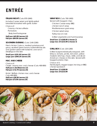# ENTRÉE

## **ITALIAN NIGHT** (Cals: 870-1840)

Includes Caesar salad and lightly salted breadsticks brushed with garlic butter

#### Choice of:

Creamy chicken alfredo Pomodoro

Zesty beef bolognese

#### **Half pan \$43.99 (serves 12) Full pan \$84.99 (serves 24)**

## **SOUTHERN EVENING** (Cals: 1140-2280)

Fried chicken 2 piece, mashed potatoes and gravy, sautéed green beans, buttermilk biscuits and garden salad with balsamic and ranch dressings on the side

**Small pan \$191.49 (serves 12) Large pan \$394.29 (serves 24)**

## **MAC AND CHEESE**

Choice of: Classic creamy mac and cheese (Cals: 400-800) **Half pan \$ 26.49(serves 12) Full pan \$ 52.79 (serves 24)**

Kickin' Buffalo chicken mac and cheese Cals: 400-800) **Half pan \$36.99 (serves 12) Full pan \$73.99 (serves 24)**

## **WRAP BOX** (Cals: 700-1400)

Served with bagged chips

Chicken Caesar wrap BBQ

chicken ranch wrap

Mediterranean grain wrap

Chicken salad wrap

Turkey bacon club

Grilled vegetable and hummus wrap

**Small box 12 \$108.99 (choose 2) Large box 24 \$215.99 (choose 3)**

## **GRILL BOX** (Cals: 120-1280)

Grilled burgers individually wrapped, with lettuce, tomato, pickle, red onion, yellow mustard, ketchup, mayo, relish, and sliced American cheese on the side. Served with bagged potato chips

Choice of 2:

Hamburgers, veggie burger, hot dog or BBQ chicken sandwich

**Small box 12 \$108.99 Large box 24 \$215.99**

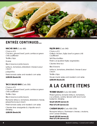

## ENTRÉE CONTINUED...

**NACHO BAR** (Cals: 480)

Choice of 2: Chicken, ground beef, pork carnitas or green chili cauliflower

Tortilla chips

Queso

Black beans or pinto beans

Lettuce, tomatoes, shredded cheese & sour cream

Jalapeños

Fresh tomato salsa and roasted corn salsa

**\$189.99 (feeds 24)**

## **TACO SALAD BAR** (Cals: 550)

Choice of 2: Chicken, ground beef, pork carnitas or green chili cauliflower

Tortilla chips

Black beans or pinto beans

Romaine lettuce, tomatoes, shredded cheese, jalapeños & sour cream

Fresh tomato salsa and roasted corn salsa

Cilantro lime vinaigrette & chipotle ranch dressing

**\$189.99 (feeds 24)**

**FAJITA BAR** (Cals: 540) Choice of 2: Grilled chicken, fajita beef or green chili cauliflower Soft flour tortillas Fresh-cut sautéed fajita vegetables Cilantro lime rice Black beans Lettuce, tomatoes, shredded cheese & sour cream Tortilla chips House-made salsa and roasted corn salsa **\$269.99 (feeds 24)**

## A LA CARTE ITEMS

#### **TOSSED SALAD** (Cals: 410-1640)

Mixed greens, romaine lettuce, tomatoes, cucumbers, carrots. Served with ranch and balsamic dressing

**Small \$35.99 (serves 6)**

**Med \$71.49 (serves 12)**

#### **CAESAR SALAD** (Cals: 430-1720)

Romaine lettuce, Parmesan cheese, croutons, and Caesar dressing

**Small \$35.99 (serves 6) Med \$71.49 (serves 12)**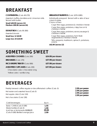## BREAKFAST

## **CONTINENTAL** (Cals: 40-270)

Assorted muffins, danishes and cinnamon rolls. Served with butter.

**Small \$49.99 (serves 12) Medium \$99.96 (serves 24)**

**DONUT BOX** (Cals: 95-300)

Assorted donuts **Small box 12 \$9.99 Large box 24 \$19.99**

### **BREAKFAST BURRITOS** (Cals: 1070-1085)

Individually wrapped. Served with a side of sour cream & salsa.

Choice of two:

Cage free eggs, potatoes & cheddar cheese Cage free eggs, potatoes, crispy bacon & cheddar cheese

Cage free eggs, potatoes, savory sausage & cheddar cheese

Cage free eggs, potatoes, farm fresh vegetables & cheddar cheese

Tofu, peppers, mushroom, spinach, potatoes, onions

**\$42.99 (serves 12)**

## SOMETHING SWEET

| <b>ASSORTED COOKIES (Cals: 200)</b>     | \$24.99/per dozen |
|-----------------------------------------|-------------------|
| <b>BROWNIES</b> (Cals: 170)             | \$37.99/per dozen |
| <b>RICE KRISPIE TREATS® (Cals: 000)</b> | \$37.99/per dozen |
| <b>ASSORTED CUPCAKES (Cals: 230)</b>    | \$37.99/per dozen |
| Chocolate cake / chocolate icing        |                   |

## BEVERAGES

Yellow cake / vanilla icing

Freshly brewed coffee regular or decaffeinated coffee (Cals: 0)

Hot water and assorted teas (Cals: 0)

Hot apple cider (Cals: 110)

Hot chocolate (Cals: 130)

| Cold beverages                     | Fach  |
|------------------------------------|-------|
| Soda- CANS (Cals: 0-190)           | 1.55  |
| Water bottles (Cals: 0)            | 1.99  |
| Iced tea or lemonade-BUBBLER       | 20.00 |
| (Cals: 0-160) Bottled orange juice | 2.99  |

- **2.99 per person 2.99 per person 2.99 per person**
- **2.99 per person**